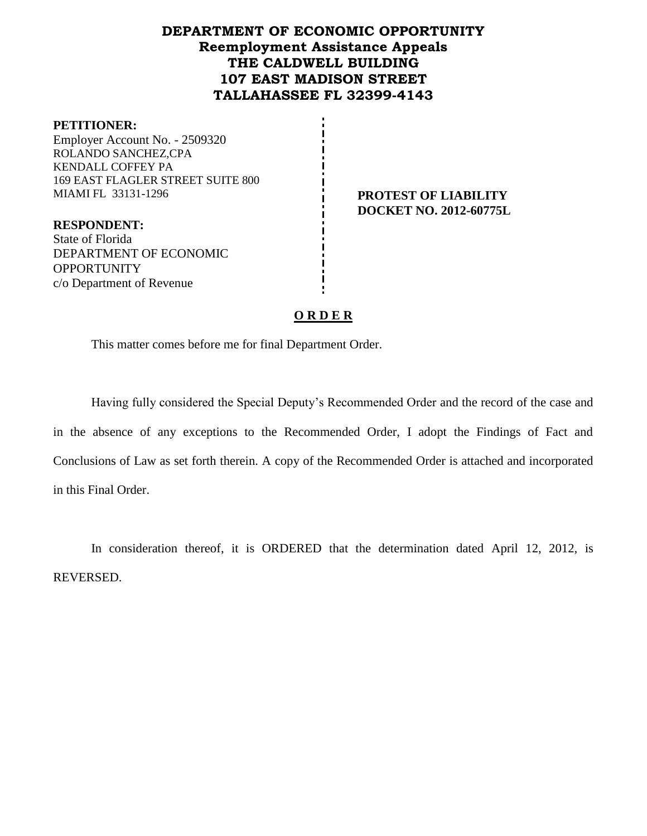## **DEPARTMENT OF ECONOMIC OPPORTUNITY Reemployment Assistance Appeals THE CALDWELL BUILDING 107 EAST MADISON STREET TALLAHASSEE FL 32399-4143**

#### **PETITIONER:**

Employer Account No. - 2509320 ROLANDO SANCHEZ,CPA KENDALL COFFEY PA 169 EAST FLAGLER STREET SUITE 800 MIAMI FL 33131-1296 **PROTEST OF LIABILITY**

**RESPONDENT:** State of Florida DEPARTMENT OF ECONOMIC **OPPORTUNITY** c/o Department of Revenue

**DOCKET NO. 2012-60775L**

### **O R D E R**

This matter comes before me for final Department Order.

Having fully considered the Special Deputy's Recommended Order and the record of the case and in the absence of any exceptions to the Recommended Order, I adopt the Findings of Fact and Conclusions of Law as set forth therein. A copy of the Recommended Order is attached and incorporated in this Final Order.

In consideration thereof, it is ORDERED that the determination dated April 12, 2012, is REVERSED.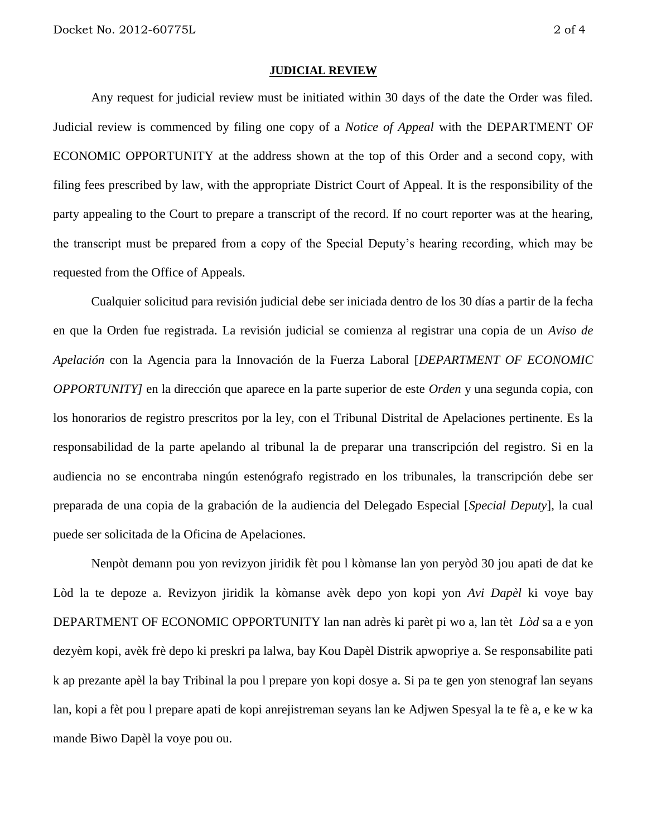#### **JUDICIAL REVIEW**

Any request for judicial review must be initiated within 30 days of the date the Order was filed. Judicial review is commenced by filing one copy of a *Notice of Appeal* with the DEPARTMENT OF ECONOMIC OPPORTUNITY at the address shown at the top of this Order and a second copy, with filing fees prescribed by law, with the appropriate District Court of Appeal. It is the responsibility of the party appealing to the Court to prepare a transcript of the record. If no court reporter was at the hearing, the transcript must be prepared from a copy of the Special Deputy's hearing recording, which may be requested from the Office of Appeals.

Cualquier solicitud para revisión judicial debe ser iniciada dentro de los 30 días a partir de la fecha en que la Orden fue registrada. La revisión judicial se comienza al registrar una copia de un *Aviso de Apelación* con la Agencia para la Innovación de la Fuerza Laboral [*DEPARTMENT OF ECONOMIC OPPORTUNITY]* en la dirección que aparece en la parte superior de este *Orden* y una segunda copia, con los honorarios de registro prescritos por la ley, con el Tribunal Distrital de Apelaciones pertinente. Es la responsabilidad de la parte apelando al tribunal la de preparar una transcripción del registro. Si en la audiencia no se encontraba ningún estenógrafo registrado en los tribunales, la transcripción debe ser preparada de una copia de la grabación de la audiencia del Delegado Especial [*Special Deputy*], la cual puede ser solicitada de la Oficina de Apelaciones.

Nenpòt demann pou yon revizyon jiridik fèt pou l kòmanse lan yon peryòd 30 jou apati de dat ke Lòd la te depoze a. Revizyon jiridik la kòmanse avèk depo yon kopi yon *Avi Dapèl* ki voye bay DEPARTMENT OF ECONOMIC OPPORTUNITY lan nan adrès ki parèt pi wo a, lan tèt *Lòd* sa a e yon dezyèm kopi, avèk frè depo ki preskri pa lalwa, bay Kou Dapèl Distrik apwopriye a. Se responsabilite pati k ap prezante apèl la bay Tribinal la pou l prepare yon kopi dosye a. Si pa te gen yon stenograf lan seyans lan, kopi a fèt pou l prepare apati de kopi anrejistreman seyans lan ke Adjwen Spesyal la te fè a, e ke w ka mande Biwo Dapèl la voye pou ou.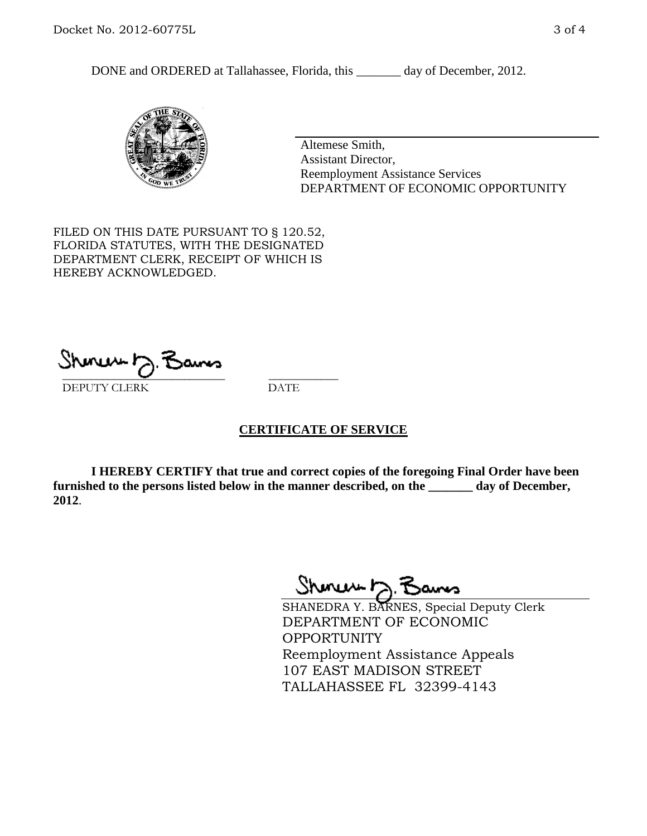DONE and ORDERED at Tallahassee, Florida, this \_\_\_\_\_\_\_ day of December, 2012.



Altemese Smith, Assistant Director, Reemployment Assistance Services DEPARTMENT OF ECONOMIC OPPORTUNITY

FILED ON THIS DATE PURSUANT TO § 120.52, FLORIDA STATUTES, WITH THE DESIGNATED DEPARTMENT CLERK, RECEIPT OF WHICH IS HEREBY ACKNOWLEDGED.

 $\overline{\phantom{a}}$  ,  $\overline{\phantom{a}}$  ,  $\overline{\phantom{a}}$  ,  $\overline{\phantom{a}}$  ,  $\overline{\phantom{a}}$  ,  $\overline{\phantom{a}}$  ,  $\overline{\phantom{a}}$  ,  $\overline{\phantom{a}}$ DEPUTY CLERK DATE

#### **CERTIFICATE OF SERVICE**

**I HEREBY CERTIFY that true and correct copies of the foregoing Final Order have been furnished to the persons listed below in the manner described, on the \_\_\_\_\_\_\_ day of December, 2012**.

Shoner 5. Bans

SHANEDRA Y. BARNES, Special Deputy Clerk DEPARTMENT OF ECONOMIC OPPORTUNITY Reemployment Assistance Appeals 107 EAST MADISON STREET TALLAHASSEE FL 32399-4143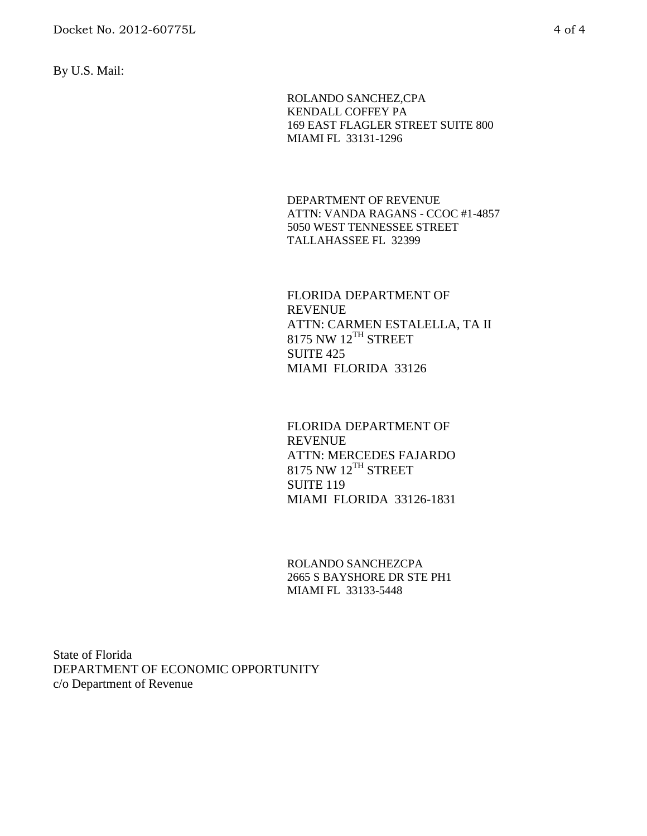By U.S. Mail:

ROLANDO SANCHEZ,CPA KENDALL COFFEY PA 169 EAST FLAGLER STREET SUITE 800 MIAMI FL 33131-1296

DEPARTMENT OF REVENUE ATTN: VANDA RAGANS - CCOC #1-4857 5050 WEST TENNESSEE STREET TALLAHASSEE FL 32399

FLORIDA DEPARTMENT OF REVENUE ATTN: CARMEN ESTALELLA, TA II 8175 NW 12<sup>TH</sup> STREET SUITE 425 MIAMI FLORIDA 33126

FLORIDA DEPARTMENT OF REVENUE ATTN: MERCEDES FAJARDO  $8175$  NW  $12^{TH}$  STREET **SUITE 119** MIAMI FLORIDA 33126-1831

ROLANDO SANCHEZCPA 2665 S BAYSHORE DR STE PH1 MIAMI FL 33133-5448

State of Florida DEPARTMENT OF ECONOMIC OPPORTUNITY c/o Department of Revenue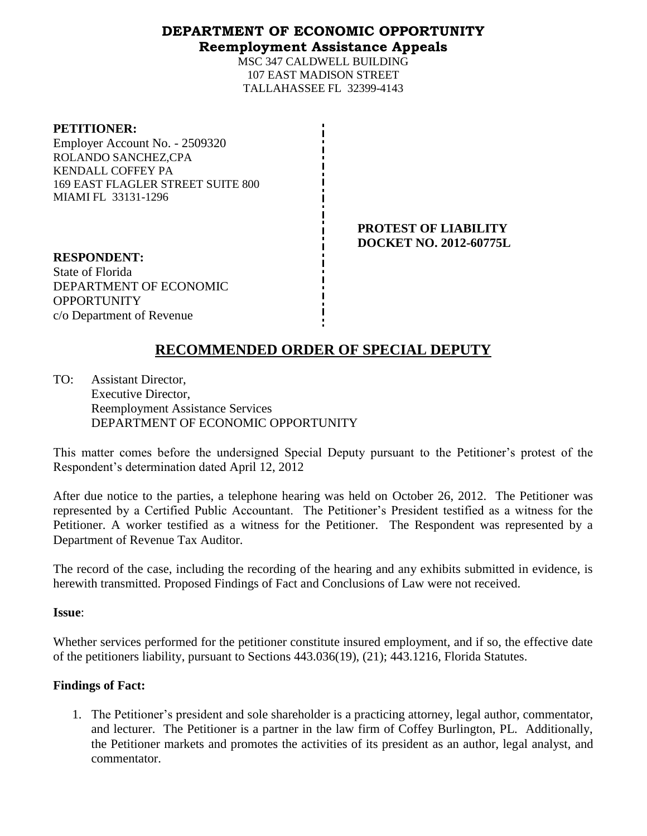### **DEPARTMENT OF ECONOMIC OPPORTUNITY Reemployment Assistance Appeals**

MSC 347 CALDWELL BUILDING 107 EAST MADISON STREET TALLAHASSEE FL 32399-4143

#### **PETITIONER:**

Employer Account No. - 2509320 ROLANDO SANCHEZ,CPA KENDALL COFFEY PA 169 EAST FLAGLER STREET SUITE 800 MIAMI FL 33131-1296

> **PROTEST OF LIABILITY DOCKET NO. 2012-60775L**

**RESPONDENT:** State of Florida DEPARTMENT OF ECONOMIC **OPPORTUNITY** c/o Department of Revenue

# **RECOMMENDED ORDER OF SPECIAL DEPUTY**

TO: Assistant Director, Executive Director, Reemployment Assistance Services DEPARTMENT OF ECONOMIC OPPORTUNITY

This matter comes before the undersigned Special Deputy pursuant to the Petitioner's protest of the Respondent's determination dated April 12, 2012

After due notice to the parties, a telephone hearing was held on October 26, 2012. The Petitioner was represented by a Certified Public Accountant. The Petitioner's President testified as a witness for the Petitioner. A worker testified as a witness for the Petitioner. The Respondent was represented by a Department of Revenue Tax Auditor.

The record of the case, including the recording of the hearing and any exhibits submitted in evidence, is herewith transmitted. Proposed Findings of Fact and Conclusions of Law were not received.

**Issue**:

Whether services performed for the petitioner constitute insured employment, and if so, the effective date of the petitioners liability, pursuant to Sections 443.036(19), (21); 443.1216, Florida Statutes.

### **Findings of Fact:**

1. The Petitioner's president and sole shareholder is a practicing attorney, legal author, commentator, and lecturer. The Petitioner is a partner in the law firm of Coffey Burlington, PL. Additionally, the Petitioner markets and promotes the activities of its president as an author, legal analyst, and commentator.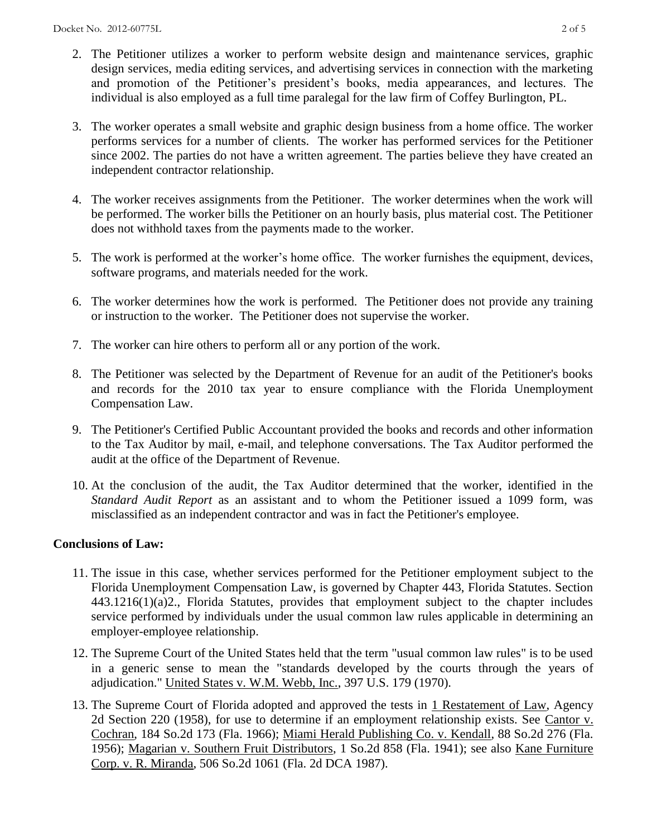- 2. The Petitioner utilizes a worker to perform website design and maintenance services, graphic design services, media editing services, and advertising services in connection with the marketing and promotion of the Petitioner's president's books, media appearances, and lectures. The individual is also employed as a full time paralegal for the law firm of Coffey Burlington, PL.
- 3. The worker operates a small website and graphic design business from a home office. The worker performs services for a number of clients. The worker has performed services for the Petitioner since 2002. The parties do not have a written agreement. The parties believe they have created an independent contractor relationship.
- 4. The worker receives assignments from the Petitioner. The worker determines when the work will be performed. The worker bills the Petitioner on an hourly basis, plus material cost. The Petitioner does not withhold taxes from the payments made to the worker.
- 5. The work is performed at the worker's home office. The worker furnishes the equipment, devices, software programs, and materials needed for the work.
- 6. The worker determines how the work is performed. The Petitioner does not provide any training or instruction to the worker. The Petitioner does not supervise the worker.
- 7. The worker can hire others to perform all or any portion of the work.
- 8. The Petitioner was selected by the Department of Revenue for an audit of the Petitioner's books and records for the 2010 tax year to ensure compliance with the Florida Unemployment Compensation Law.
- 9. The Petitioner's Certified Public Accountant provided the books and records and other information to the Tax Auditor by mail, e-mail, and telephone conversations. The Tax Auditor performed the audit at the office of the Department of Revenue.
- 10. At the conclusion of the audit, the Tax Auditor determined that the worker, identified in the *Standard Audit Report* as an assistant and to whom the Petitioner issued a 1099 form, was misclassified as an independent contractor and was in fact the Petitioner's employee.

### **Conclusions of Law:**

- 11. The issue in this case, whether services performed for the Petitioner employment subject to the Florida Unemployment Compensation Law, is governed by Chapter 443, Florida Statutes. Section 443.1216(1)(a)2., Florida Statutes, provides that employment subject to the chapter includes service performed by individuals under the usual common law rules applicable in determining an employer-employee relationship.
- 12. The Supreme Court of the United States held that the term "usual common law rules" is to be used in a generic sense to mean the "standards developed by the courts through the years of adjudication." United States v. W.M. Webb, Inc., 397 U.S. 179 (1970).
- 13. The Supreme Court of Florida adopted and approved the tests in 1 Restatement of Law, Agency 2d Section 220 (1958), for use to determine if an employment relationship exists. See Cantor v. Cochran, 184 So.2d 173 (Fla. 1966); Miami Herald Publishing Co. v. Kendall, 88 So.2d 276 (Fla. 1956); Magarian v. Southern Fruit Distributors, 1 So.2d 858 (Fla. 1941); see also Kane Furniture Corp. v. R. Miranda, 506 So.2d 1061 (Fla. 2d DCA 1987).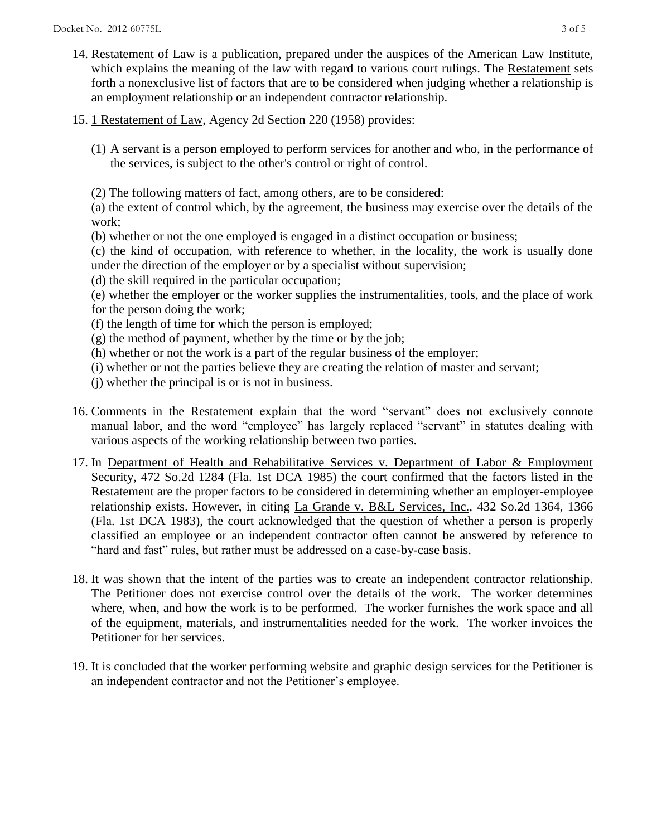- 14. Restatement of Law is a publication, prepared under the auspices of the American Law Institute, which explains the meaning of the law with regard to various court rulings. The Restatement sets forth a nonexclusive list of factors that are to be considered when judging whether a relationship is an employment relationship or an independent contractor relationship.
- 15. 1 Restatement of Law, Agency 2d Section 220 (1958) provides:
	- (1) A servant is a person employed to perform services for another and who, in the performance of the services, is subject to the other's control or right of control.
	- (2) The following matters of fact, among others, are to be considered:

(a) the extent of control which, by the agreement, the business may exercise over the details of the work;

(b) whether or not the one employed is engaged in a distinct occupation or business;

(c) the kind of occupation, with reference to whether, in the locality, the work is usually done under the direction of the employer or by a specialist without supervision;

- (d) the skill required in the particular occupation;
- (e) whether the employer or the worker supplies the instrumentalities, tools, and the place of work for the person doing the work;
- (f) the length of time for which the person is employed;
- $(g)$  the method of payment, whether by the time or by the job;
- (h) whether or not the work is a part of the regular business of the employer;
- (i) whether or not the parties believe they are creating the relation of master and servant;
- (j) whether the principal is or is not in business.
- 16. Comments in the Restatement explain that the word "servant" does not exclusively connote manual labor, and the word "employee" has largely replaced "servant" in statutes dealing with various aspects of the working relationship between two parties.
- 17. In Department of Health and Rehabilitative Services v. Department of Labor & Employment Security, 472 So.2d 1284 (Fla. 1st DCA 1985) the court confirmed that the factors listed in the Restatement are the proper factors to be considered in determining whether an employer-employee relationship exists. However, in citing La Grande v. B&L Services, Inc., 432 So.2d 1364, 1366 (Fla. 1st DCA 1983), the court acknowledged that the question of whether a person is properly classified an employee or an independent contractor often cannot be answered by reference to "hard and fast" rules, but rather must be addressed on a case-by-case basis.
- 18. It was shown that the intent of the parties was to create an independent contractor relationship. The Petitioner does not exercise control over the details of the work. The worker determines where, when, and how the work is to be performed. The worker furnishes the work space and all of the equipment, materials, and instrumentalities needed for the work. The worker invoices the Petitioner for her services.
- 19. It is concluded that the worker performing website and graphic design services for the Petitioner is an independent contractor and not the Petitioner's employee.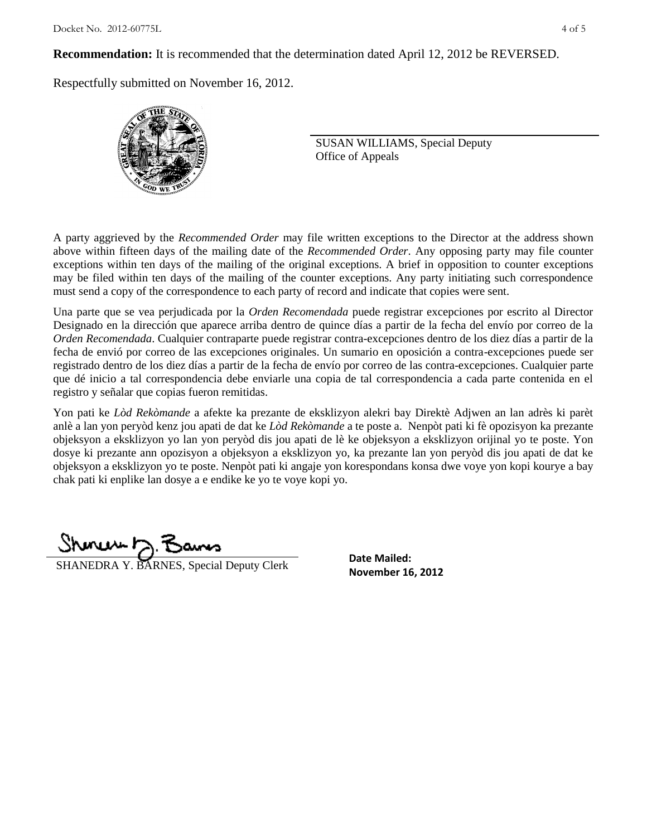**Recommendation:** It is recommended that the determination dated April 12, 2012 be REVERSED.

Respectfully submitted on November 16, 2012.



SUSAN WILLIAMS, Special Deputy Office of Appeals

A party aggrieved by the *Recommended Order* may file written exceptions to the Director at the address shown above within fifteen days of the mailing date of the *Recommended Order*. Any opposing party may file counter exceptions within ten days of the mailing of the original exceptions. A brief in opposition to counter exceptions may be filed within ten days of the mailing of the counter exceptions. Any party initiating such correspondence must send a copy of the correspondence to each party of record and indicate that copies were sent.

Una parte que se vea perjudicada por la *Orden Recomendada* puede registrar excepciones por escrito al Director Designado en la dirección que aparece arriba dentro de quince días a partir de la fecha del envío por correo de la *Orden Recomendada*. Cualquier contraparte puede registrar contra-excepciones dentro de los diez días a partir de la fecha de envió por correo de las excepciones originales. Un sumario en oposición a contra-excepciones puede ser registrado dentro de los diez días a partir de la fecha de envío por correo de las contra-excepciones. Cualquier parte que dé inicio a tal correspondencia debe enviarle una copia de tal correspondencia a cada parte contenida en el registro y señalar que copias fueron remitidas.

Yon pati ke *Lòd Rekòmande* a afekte ka prezante de eksklizyon alekri bay Direktè Adjwen an lan adrès ki parèt anlè a lan yon peryòd kenz jou apati de dat ke *Lòd Rekòmande* a te poste a. Nenpòt pati ki fè opozisyon ka prezante objeksyon a eksklizyon yo lan yon peryòd dis jou apati de lè ke objeksyon a eksklizyon orijinal yo te poste. Yon dosye ki prezante ann opozisyon a objeksyon a eksklizyon yo, ka prezante lan yon peryòd dis jou apati de dat ke objeksyon a eksklizyon yo te poste. Nenpòt pati ki angaje yon korespondans konsa dwe voye yon kopi kourye a bay chak pati ki enplike lan dosye a e endike ke yo te voye kopi yo.

Shoner 7. Bans

**SHANEDRA Y. BARNES, Special Deputy Clerk** Date Malled:<br>**November 16, 2012** 

**Date Mailed:**